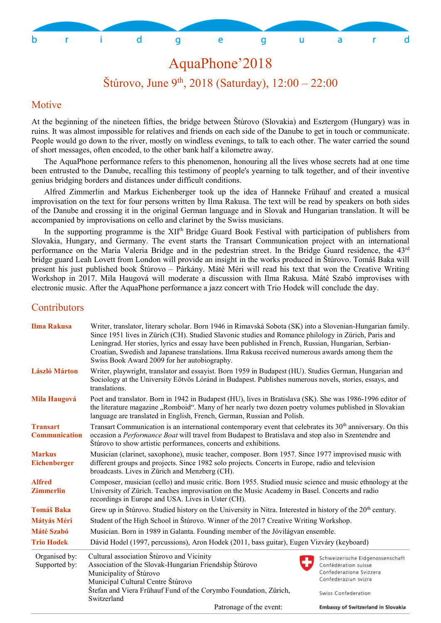

### AquaPhone'2018

Štúrovo, June 9<sup>th</sup>, 2018 (Saturday),  $12:00 - 22:00$ 

#### Motive

At the beginning of the nineteen fifties, the bridge between Štúrovo (Slovakia) and Esztergom (Hungary) was in ruins. It was almost impossible for relatives and friends on each side of the Danube to get in touch or communicate. People would go down to the river, mostly on windless evenings, to talk to each other. The water carried the sound of short messages, often encoded, to the other bank half a kilometre away.

The AquaPhone performance refers to this phenomenon, honouring all the lives whose secrets had at one time been entrusted to the Danube, recalling this testimony of people's yearning to talk together, and of their inventive genius bridging borders and distances under difficult conditions.

Alfred Zimmerlin and Markus Eichenberger took up the idea of Hanneke Frühauf and created a musical improvisation on the text for four persons written by Ilma Rakusa. The text will be read by speakers on both sides of the Danube and crossing it in the original German language and in Slovak and Hungarian translation. It will be accompanied by improvisations on cello and clarinet by the Swiss musicians.

In the supporting programme is the XII<sup>th</sup> Bridge Guard Book Festival with participation of publishers from Slovakia, Hungary, and Germany. The event starts the Transart Communication project with an international performance on the Maria Valeria Bridge and in the pedestrian street. In the Bridge Guard residence, the 43rd bridge guard Leah Lovett from London will provide an insight in the works produced in Štúrovo. Tomáš Baka will present his just published book Štúrovo – Párkány. Máté Méri will read his text that won the Creative Writing Workshop in 2017. Mila Haugová will moderate a discussion with Ilma Rakusa. Máté Szabó improvises with electronic music. After the AquaPhone performance a jazz concert with Trio Hodek will conclude the day.

#### **Contributors**

| <b>Ilma Rakusa</b>                      | Writer, translator, literary scholar. Born 1946 in Rimavská Sobota (SK) into a Slovenian-Hungarian family.<br>Since 1951 lives in Zürich (CH). Studied Slavonic studies and Romance philology in Zürich, Paris and<br>Leningrad. Her stories, lyrics and essay have been published in French, Russian, Hungarian, Serbian-<br>Croatian, Swedish and Japanese translations. Ilma Rakusa received numerous awards among them the<br>Swiss Book Award 2009 for her autobiography. |                                                                                                                                    |  |  |  |
|-----------------------------------------|--------------------------------------------------------------------------------------------------------------------------------------------------------------------------------------------------------------------------------------------------------------------------------------------------------------------------------------------------------------------------------------------------------------------------------------------------------------------------------|------------------------------------------------------------------------------------------------------------------------------------|--|--|--|
| <b>László Márton</b>                    | Writer, playwright, translator and essayist. Born 1959 in Budapest (HU). Studies German, Hungarian and<br>Sociology at the University Eötvös Lóránd in Budapest. Publishes numerous novels, stories, essays, and<br>translations.                                                                                                                                                                                                                                              |                                                                                                                                    |  |  |  |
| <b>Mila Haugová</b>                     | Poet and translator. Born in 1942 in Budapest (HU), lives in Bratislava (SK). She was 1986-1996 editor of<br>the literature magazine "Romboid". Many of her nearly two dozen poetry volumes published in Slovakian<br>language are translated in English, French, German, Russian and Polish.                                                                                                                                                                                  |                                                                                                                                    |  |  |  |
| <b>Transart</b><br><b>Communication</b> | Transart Communication is an international contemporary event that celebrates its 30 <sup>th</sup> anniversary. On this<br>occasion a Performance Boat will travel from Budapest to Bratislava and stop also in Szentendre and<br>Štúrovo to show artistic performances, concerts and exhibitions.                                                                                                                                                                             |                                                                                                                                    |  |  |  |
| <b>Markus</b><br><b>Eichenberger</b>    | Musician (clarinet, saxophone), music teacher, composer. Born 1957. Since 1977 improvised music with<br>different groups and projects. Since 1982 solo projects. Concerts in Europe, radio and television<br>broadcasts. Lives in Zürich and Menzberg (CH).                                                                                                                                                                                                                    |                                                                                                                                    |  |  |  |
| <b>Alfred</b><br><b>Zimmerlin</b>       | Composer, musician (cello) and music critic. Born 1955. Studied music science and music ethnology at the<br>University of Zürich. Teaches improvisation on the Music Academy in Basel. Concerts and radio<br>recordings in Europe and USA. Lives in Uster (CH).                                                                                                                                                                                                                |                                                                                                                                    |  |  |  |
| <b>Tomáš Baka</b>                       | Grew up in Štúrovo. Studied history on the University in Nitra. Interested in history of the 20 <sup>th</sup> century.                                                                                                                                                                                                                                                                                                                                                         |                                                                                                                                    |  |  |  |
| Mátyás Méri                             | Student of the High School in Štúrovo. Winner of the 2017 Creative Writing Workshop.                                                                                                                                                                                                                                                                                                                                                                                           |                                                                                                                                    |  |  |  |
| <b>Máté Szabó</b>                       | Musician. Born in 1989 in Galanta. Founding member of the Jóvilágvan ensemble.                                                                                                                                                                                                                                                                                                                                                                                                 |                                                                                                                                    |  |  |  |
| <b>Trio Hodek</b>                       | Dávid Hodel (1997, percussions), Aron Hodek (2011, bass guitar), Eugen Vizváry (keyboard)                                                                                                                                                                                                                                                                                                                                                                                      |                                                                                                                                    |  |  |  |
| Organised by:<br>Supported by:          | Cultural association Štúrovo and Vicinity<br>Association of the Slovak-Hungarian Friendship Štúrovo<br>Municipality of Štúrovo<br>Municipal Cultural Centre Štúrovo<br>Štefan and Viera Frühauf Fund of the Corymbo Foundation, Zürich,<br>Switzerland                                                                                                                                                                                                                         | Schweizerische Eidgenossenschaft<br>Confédération suisse<br>Confederazione Svizzera<br>Confederaziun svizra<br>Swiss Confederation |  |  |  |
|                                         | Patronage of the event:                                                                                                                                                                                                                                                                                                                                                                                                                                                        | <b>Embassy of Switzerland in Slovakia</b>                                                                                          |  |  |  |